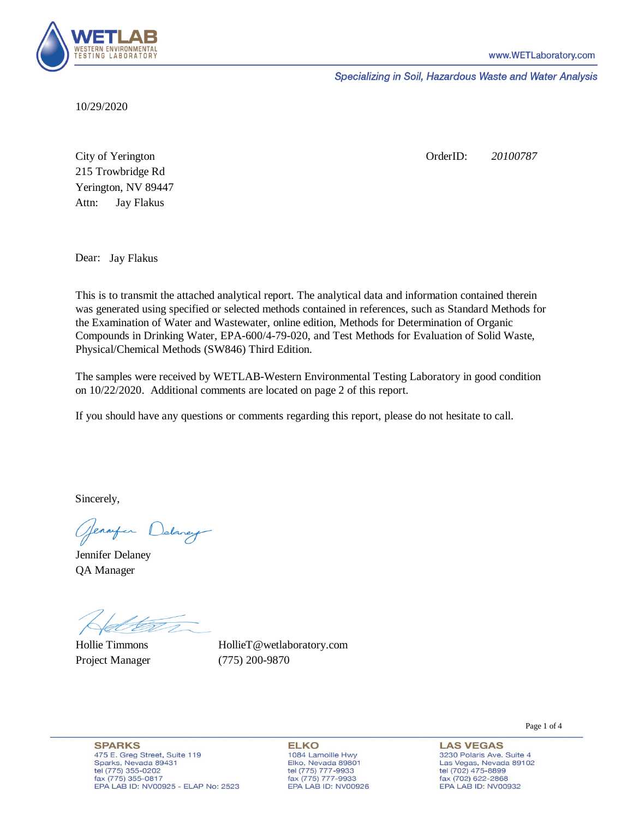

Specializing in Soil, Hazardous Waste and Water Analysis

10/29/2020

Attn: City of Yerington 215 Trowbridge Rd Jay Flakus Yerington, NV 89447 OrderID: *20100787*

Dear: Jay Flakus

This is to transmit the attached analytical report. The analytical data and information contained therein was generated using specified or selected methods contained in references, such as Standard Methods for the Examination of Water and Wastewater, online edition, Methods for Determination of Organic Compounds in Drinking Water, EPA-600/4-79-020, and Test Methods for Evaluation of Solid Waste, Physical/Chemical Methods (SW846) Third Edition.

The samples were received by WETLAB-Western Environmental Testing Laboratory in good condition on 10/22/2020. Additional comments are located on page 2 of this report.

If you should have any questions or comments regarding this report, please do not hesitate to call.

Sincerely,

Genryen Delaney

Jennifer Delaney QA Manager

Hollie Timmons Project Manager (775) 200-9870

HollieT@wetlaboratory.com

**SPARKS** 475 E. Greg Street, Suite 119 Sparks, Nevada 89431 tel (775) 355-0202 fax (775) 355-0817 EPA LAB ID: NV00925 - ELAP No: 2523

**ELKO** 1084 Lamoille Hwy Elko, Nevada 89801 tel (775) 777-9933<br>fax (775) 777-9933 EPA LAB ID: NV00926 Page 1 of 4

**LAS VEGAS** 3230 Polaris Ave. Suite 4 Las Vegas, Nevada 89102 tel (702) 475-8899<br>fax (702) 622-2868 EPA LAB ID: NV00932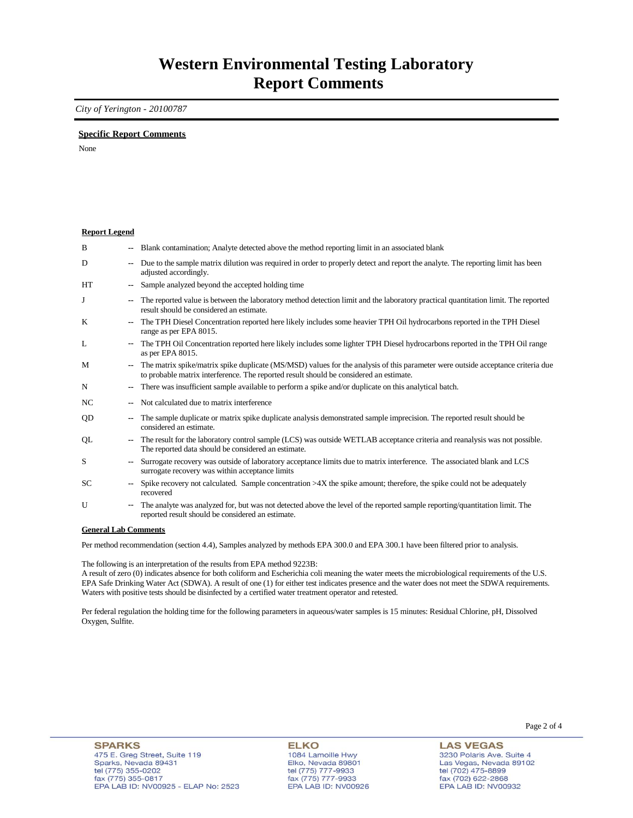### **Western Environmental Testing Laboratory Report Comments**

*City of Yerington - 20100787* 

### **Specific Report Comments**

None

#### **Report Legend**

| B         | --                       | Blank contamination; Analyte detected above the method reporting limit in an associated blank                                                                                                                             |
|-----------|--------------------------|---------------------------------------------------------------------------------------------------------------------------------------------------------------------------------------------------------------------------|
| D         | ۰.                       | Due to the sample matrix dilution was required in order to properly detect and report the analyte. The reporting limit has been<br>adjusted accordingly.                                                                  |
| <b>HT</b> | $\overline{\phantom{a}}$ | Sample analyzed beyond the accepted holding time                                                                                                                                                                          |
| J         | $\overline{\phantom{a}}$ | The reported value is between the laboratory method detection limit and the laboratory practical quantitation limit. The reported<br>result should be considered an estimate.                                             |
| K         | -−                       | The TPH Diesel Concentration reported here likely includes some heavier TPH Oil hydrocarbons reported in the TPH Diesel<br>range as per EPA 8015.                                                                         |
| L         | $\sim$                   | The TPH Oil Concentration reported here likely includes some lighter TPH Diesel hydrocarbons reported in the TPH Oil range<br>as per EPA 8015.                                                                            |
| M         | $\overline{\phantom{a}}$ | The matrix spike/matrix spike duplicate (MS/MSD) values for the analysis of this parameter were outside acceptance criteria due<br>to probable matrix interference. The reported result should be considered an estimate. |
| N         | ۰.                       | There was insufficient sample available to perform a spike and/or duplicate on this analytical batch.                                                                                                                     |
| NC        | --                       | Not calculated due to matrix interference                                                                                                                                                                                 |
| QD        | --                       | The sample duplicate or matrix spike duplicate analysis demonstrated sample imprecision. The reported result should be<br>considered an estimate.                                                                         |
| QL        | $\overline{\phantom{a}}$ | The result for the laboratory control sample (LCS) was outside WETLAB acceptance criteria and reanalysis was not possible.<br>The reported data should be considered an estimate.                                         |
| S         | $\overline{\phantom{a}}$ | Surrogate recovery was outside of laboratory acceptance limits due to matrix interference. The associated blank and LCS<br>surrogate recovery was within acceptance limits                                                |
| <b>SC</b> | $\overline{\phantom{a}}$ | Spike recovery not calculated. Sample concentration $>4X$ the spike amount; therefore, the spike could not be adequately<br>recovered                                                                                     |
| U         | ۰.                       | The analyte was analyzed for, but was not detected above the level of the reported sample reporting/quantitation limit. The<br>reported result should be considered an estimate.                                          |

#### **General Lab Comments**

Per method recommendation (section 4.4), Samples analyzed by methods EPA 300.0 and EPA 300.1 have been filtered prior to analysis.

The following is an interpretation of the results from EPA method 9223B:

A result of zero (0) indicates absence for both coliform and Escherichia coli meaning the water meets the microbiological requirements of the U.S. EPA Safe Drinking Water Act (SDWA). A result of one (1) for either test indicates presence and the water does not meet the SDWA requirements. Waters with positive tests should be disinfected by a certified water treatment operator and retested.

Per federal regulation the holding time for the following parameters in aqueous/water samples is 15 minutes: Residual Chlorine, pH, Dissolved Oxygen, Sulfite.

**ELKO** 1084 Lamoille Hwy<br>Elko, Nevada 89801 tel (775) 777-9933<br>fax (775) 777-9933 EPA LAB ID: NV00926

**LAS VEGAS** 3230 Polaris Ave. Suite 4 Las Vegas, Nevada 89102 tel (702) 475-8899<br>fax (702) 622-2868 EPA LAB ID: NV00932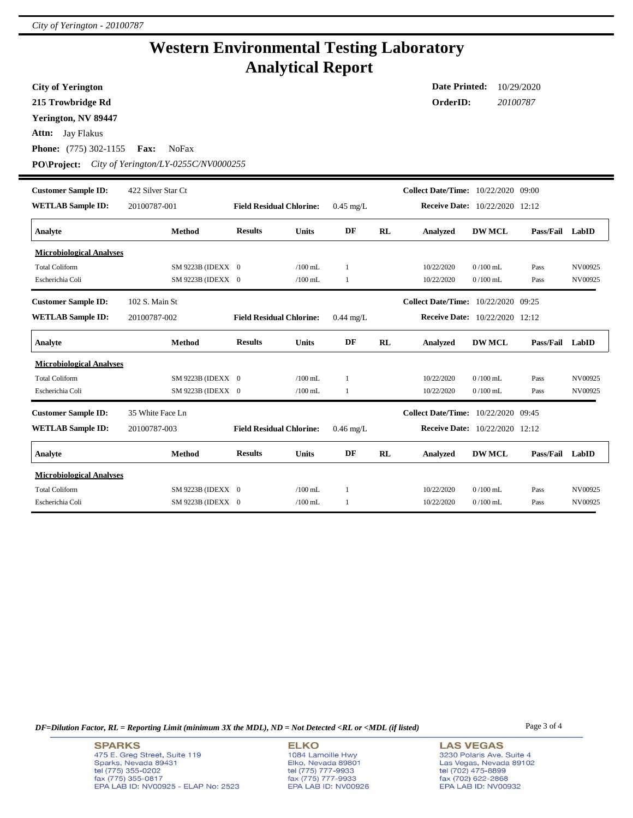## **Western Environmental Testing Laboratory Analytical Report**

**City of Yerington**

**215 Trowbridge Rd**

**Yerington, NV 89447**

**Attn:** Jay Flakus

**Phone:** (775) 302-1155 **Fax:** NoFax

**PO\Project:** *City of Yerington/LY-0255C/NV0000255*

| <b>Customer Sample ID:</b><br><b>WETLAB Sample ID:</b> | 422 Silver Star Ct<br>20100787-001 |                                 |              |             |    | <b>Collect Date/Time:</b> 10/22/2020 09:00<br>Receive Date: 10/22/2020 12:12 |                                       |                  |         |
|--------------------------------------------------------|------------------------------------|---------------------------------|--------------|-------------|----|------------------------------------------------------------------------------|---------------------------------------|------------------|---------|
|                                                        |                                    | <b>Field Residual Chlorine:</b> |              | $0.45$ mg/L |    |                                                                              |                                       |                  |         |
| Analyte                                                | <b>Method</b>                      | <b>Results</b>                  | <b>Units</b> | DF          | RL | <b>Analyzed</b>                                                              | <b>DW MCL</b>                         | Pass/Fail        | LabID   |
| <b>Microbiological Analyses</b>                        |                                    |                                 |              |             |    |                                                                              |                                       |                  |         |
| <b>Total Coliform</b>                                  | SM 9223B (IDEXX 0                  |                                 | $/100$ mL    | -1          |    | 10/22/2020                                                                   | $0/100$ mL                            | Pass             | NV00925 |
| Escherichia Coli                                       | SM 9223B (IDEXX 0                  |                                 | $/100$ mL    | 1           |    | 10/22/2020                                                                   | $0/100$ mL                            | Pass             | NV00925 |
| <b>Customer Sample ID:</b>                             | 102 S. Main St                     |                                 |              |             |    | Collect Date/Time: 10/22/2020 09:25                                          |                                       |                  |         |
| <b>WETLAB Sample ID:</b>                               | 20100787-002                       | <b>Field Residual Chlorine:</b> |              | $0.44$ mg/L |    | <b>Receive Date:</b> 10/22/2020 12:12                                        |                                       |                  |         |
| Analyte                                                | <b>Method</b>                      | <b>Results</b>                  | <b>Units</b> | DF          | RL | <b>Analyzed</b>                                                              | <b>DW MCL</b>                         | Pass/Fail        | LabID   |
| <b>Microbiological Analyses</b>                        |                                    |                                 |              |             |    |                                                                              |                                       |                  |         |
| <b>Total Coliform</b>                                  | SM 9223B (IDEXX 0                  |                                 | $/100$ mL    | 1           |    | 10/22/2020                                                                   | $0/100$ mL                            | Pass             | NV00925 |
| Escherichia Coli                                       | SM 9223B (IDEXX 0                  |                                 | $/100$ mL    | 1           |    | 10/22/2020                                                                   | $0/100$ mL                            | Pass             | NV00925 |
| <b>Customer Sample ID:</b>                             | 35 White Face Ln                   |                                 |              |             |    | Collect Date/Time: 10/22/2020 09:45                                          |                                       |                  |         |
| <b>WETLAB Sample ID:</b>                               | 20100787-003                       | <b>Field Residual Chlorine:</b> |              | $0.46$ mg/L |    |                                                                              | <b>Receive Date:</b> 10/22/2020 12:12 |                  |         |
| Analyte                                                | <b>Method</b>                      | <b>Results</b>                  | <b>Units</b> | DF          | RL | <b>Analyzed</b>                                                              | <b>DW MCL</b>                         | <b>Pass/Fail</b> | LabID   |
| <b>Microbiological Analyses</b>                        |                                    |                                 |              |             |    |                                                                              |                                       |                  |         |
| <b>Total Coliform</b>                                  | SM 9223B (IDEXX 0                  |                                 | $/100$ mL.   | 1           |    | 10/22/2020                                                                   | $0/100$ mL                            | Pass             | NV00925 |
| Escherichia Coli                                       | SM 9223B (IDEXX 0                  |                                 | $/100$ mL    | 1           |    | 10/22/2020                                                                   | $0/100$ mL                            | Pass             | NV00925 |

*DF=Dilution Factor, RL = Reporting Limit (minimum 3X the MDL), ND = Not Detected <RL or <MDL (if listed)* Page 3 of 4

**LAS VEGAS** 3230 Polaris Ave. Suite 4 Las Vegas, Nevada 89102 tel (702) 475-8899<br>fax (702) 622-2868 EPA LAB ID: NV00932

**Date Printed:** 10/29/2020 **OrderID:** *20100787*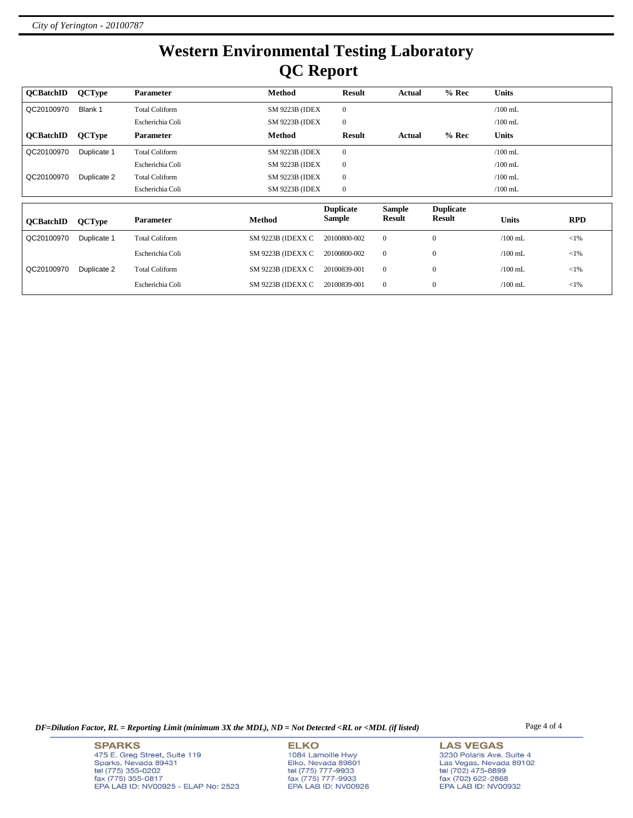# **Western Environmental Testing Laboratory QC Report**

| <b>OCBatchID</b>                                      | <b>QCType</b> | <b>Parameter</b>      | <b>Method</b>     | <b>Result</b>  | Actual        | $%$ Rec          | <b>Units</b> |            |  |
|-------------------------------------------------------|---------------|-----------------------|-------------------|----------------|---------------|------------------|--------------|------------|--|
| QC20100970                                            | Blank 1       | <b>Total Coliform</b> | SM 9223B (IDEX    | $\overline{0}$ |               |                  | $/100$ mL    |            |  |
|                                                       |               | Escherichia Coli      | SM 9223B (IDEX    | $\overline{0}$ |               |                  | $/100$ mL    |            |  |
| <b>OCBatchID</b>                                      | <b>QCType</b> | <b>Parameter</b>      | Method            | Result         | Actual        | $%$ Rec          | <b>Units</b> |            |  |
| QC20100970                                            | Duplicate 1   | <b>Total Coliform</b> | SM 9223B (IDEX    | $\overline{0}$ |               |                  | $/100$ mL    |            |  |
|                                                       |               | Escherichia Coli      | SM 9223B (IDEX    | $\overline{0}$ |               |                  | $/100$ mL    |            |  |
| QC20100970                                            | Duplicate 2   | <b>Total Coliform</b> | SM 9223B (IDEX    | $\overline{0}$ |               |                  | $/100$ mL    |            |  |
|                                                       |               | Escherichia Coli      | SM 9223B (IDEX    | $\mathbf{0}$   |               |                  | $/100$ mL    |            |  |
| <b>Duplicate</b><br><b>Duplicate</b><br><b>Sample</b> |               |                       |                   |                |               |                  |              |            |  |
| <b>OCBatchID</b>                                      | <b>QCType</b> | <b>Parameter</b>      | Method            | <b>Sample</b>  | <b>Result</b> | <b>Result</b>    | <b>Units</b> | <b>RPD</b> |  |
| QC20100970                                            | Duplicate 1   | <b>Total Coliform</b> | SM 9223B (IDEXX C | 20100800-002   | $\mathbf{0}$  | $\mathbf{0}$     | $/100$ mL    | $<$ 1%     |  |
|                                                       |               | Escherichia Coli      | SM 9223B (IDEXX C | 20100800-002   | $\mathbf{0}$  | $\mathbf{0}$     | $/100$ mL    | $<$ 1%     |  |
| QC20100970                                            | Duplicate 2   | <b>Total Coliform</b> | SM 9223B (IDEXX C | 20100839-001   | $\mathbf{0}$  | $\boldsymbol{0}$ | $/100$ mL    | $<$ 1%     |  |
|                                                       |               | Escherichia Coli      | SM 9223B (IDEXX C | 20100839-001   | $\mathbf{0}$  | $\mathbf{0}$     | $/100$ mL    | $<$ 1%     |  |

*DF=Dilution Factor, RL = Reporting Limit (minimum 3X the MDL), ND = Not Detected <RL or <MDL (if listed)* Page 4 of 4

**SPARKS** 475 E. Greg Street, Suite 119 Sparks, Nevada 89431<br>tel (775) 355-0202<br>fax (775) 355-0817 EPA LAB ID: NV00925 - ELAP No: 2523

**ELKO** 1084 Lamoille Hwy Elko, Nevada 89801<br>tel (775) 777-9933<br>fax (775) 777-9933 EPA LAB ID: NV00926

**LAS VEGAS** 3230 Polaris Ave. Suite 4 Las Vegas, Nevada 89102<br>tel (702) 475-8899<br>fax (702) 622-2868<br>EPA LAB ID: NV00932